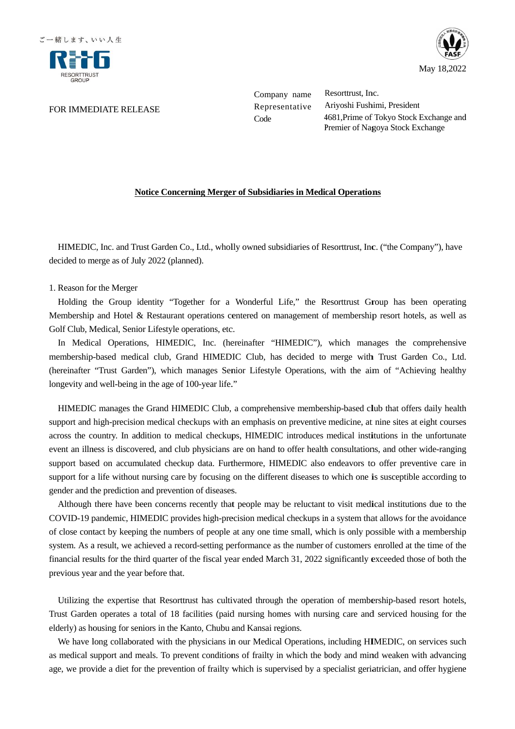

### FOR IMMEDIATE RELEASE

Company name Company Resorttrust, Inc. Representative Code

Representative Ariyoshi Fushimi, President Ariyoshi Fushimi, President Resorttrust, Inc.<br>Ariyoshi Fushimi, President<br>4681,Prime of Tokyo Stock Exchange and Premier of Nagoya Stock Exchange

## **<u>Notice Concerning Merger of Subsidiaries in Medical Operations</u>**

HIMEDIC, Inc. and Trust Garden Co., Ltd., wholly owned subsidiaries of Resorttrust, Inc. ("the Company"), have decided to merge as of July 2022 (planned).

# 1. Reason for the merge as of for Merger

Holding the Group identity "Together for a Wonderful Life," the Resorttrust Group has been operating<br>embership and Hotel & Restaurant operations centered on management of membership resort hotels, as well as<br>olf Club, Medi Membership and Hotel & Restaurant operations centered on management of membership resort hotels, as well as Golf Club, Medical, Senior Lifestyle ope Inc. and Trust Garden Co., Ltd., wholly owned subsidiaries of Resorttrust, Inc. ("the Compan<br>rge as of July 2022 (planned).<br>the Merger<br>ne Group identity "Together for a Wonderful Life," the Resorttrust Group has been<br>and H INMEDIC, Inc. and Trust Garden Co., Ltd., wholly owned subsidiaries of Resorttrust, Inc. ("the Company"), have decided to merge as of July 2022 (planned).<br>
1. Reason for the Merger<br>
Holding the Group identity "Together for

In Medical Operations, HIMEDIC, Inc. (hereinafter "HIMEDIC"), which manages the comprehensive In Medical Operations, HIMEDIC, Inc. (hereinafter "HIMEDIC"), which manages the comprehensive<br>membership-based medical club, Grand HIMEDIC Club, has decided to merge with Trust Garden Co., Ltd. membership-based medical club, Grand HIMEDIC Club, has decided to merge with Trust Garden Co., Ltd.<br>(hereinafter "Trust Garden"), which manages Senior Lifestyle Operations, with the aim of "Achieving healthy<br>longevity and longevity and well-being in the age of 100-year life." Trust Garden"), which manages Senior Lifestyle Operations, with the aim of "Achieving healthy<br>well-being in the age of 100-year life."<br>manages the Grand HIMEDIC Club, a comprehensive membership-based club that offers daily identity "Together for a Wonderful Life," the Resorttrust Group has been & Restaurant operations centered on management of membership resort hotels, nior Lifestyle operations, etc.<br>
ions, HIMEDIC, Inc. (hereinafter "HIMEDI

HIMEDIC manages the Grand HIMEDIC Club, a comprehensive membership support and high-precision medical checkups with an emphasis on preventive medicine, at nine sites at eight courses HIMEDIC manages the Grand HIMEDIC Club, a comprehensive membership-based club that offers daily health support and high-precision medical checkups with an emphasis on preventive medicine, at nine sites at eight courses acr event an illness is discovered, and club physicians are on hand to offer health consultations, and other wide-ranging support based on accumulated checkup data. Furthermore, HIMEDIC also endeavors to offer preventive care in support for a life without nursing care by focusing on the different diseases to which one i gender and the prediction and prevention of diseases. event an illness is discovered, and club physicians are on hand to offer health consultations, a<br>support based on accumulated checkup data. Furthermore, HIMEDIC also endeavors to of<br>support for a life without nursing care **EXIDENC**. Inc. and Trust Garden Co., Ltd., wholly owned subsidiaries of Kesoritrust. Inc. ("the Competicies") as moreover the Trust October of the Merger Collaborated on management of membership reserves of bulking the Gr 1-being in the age of 100-year life."<br>hages the Grand HIMEDIC Club, a comprehensive membership-base<br>precision medical checkups with an emphasis on preventive medicine based on accumulated checkup data. Furth<br>for a life without nursing care by focusing o<br>nd the prediction and prevention of diseases. the antillness is discovered, and club physicians are on hand to offer health consultations, and other wide-ranging<br>pport based on accumulated checkup data. Furthermore, HIMEDIC also endeavors to offer preventive care in<br>p Company mame. Resorttust, Inc. (Company mame Resorttest Code 4681.<br>Prime of Nogoya Stock Premier of Nogoya Stock Premier of Nogoya Stock Premier of Nogoya Stock Premier of Nogoya Stock Premier of Nogoya Stock Premier of N in nursing care by focusing on the different diseases to which one is susceptible according to May 18,2022<br>
ent<br>
ent<br>
ent<br>
k Exchange and<br>
Exchange<br>
d<br>
Exchange<br>
d<br>
mpany''), have<br>
been operating<br>
tels, as well as<br>
comprehensive<br>
rden Co., Ltd.<br>
nieving healthy<br>
ders daily health<br>
dat eight courses<br>
the unfortunate<br>

Although there have been concerns recently that people may be reluctant to visit medical institutions due to the event an illness is discovered, and club physicians are on hand to offer health consultations, and other wide-ranging<br>support based on accumulated checkup data. Furthermore, HIMEDIC also endeavors to offer preventive care of close contact by keeping the numbers of people at any one time small, which is only possible with a membership system. As a result, we achieved a record-setting performance as the number of customers enrolled at the time of of close contact by keeping the numbers of people at any one time small, which is only possible with a membership<br>system. As a result, we achieved a record-setting performance as the number of customers enrolled at the tim previous year and the year before before that.

Utilizing the expertise that Resorttrust has cultivated through the operation of membership-based resort hotels, ust Garden operates a total of 18 facilities (paid nursing homes with nursing care and serviced housing for t Trust Garden operates a total of 18 facilities (paid nursing homes with nursing care and serviced housing for the elderly) as housing for seniors in the Kanto, Chubu and Kansai regions

We have long collaborated with the physicians in our Medical Operations, including HIMEDIC, on services such as medical support and meals. To prevent conditions of frailty in which the body and mind weaken with advancing elderly) as housing for seniors in the Kanto, Chubu and Kansai regions.<br>We have long collaborated with the physicians in our Medical Operations, including HIMEDIC, on services such<br>as medical support and meals. To prevent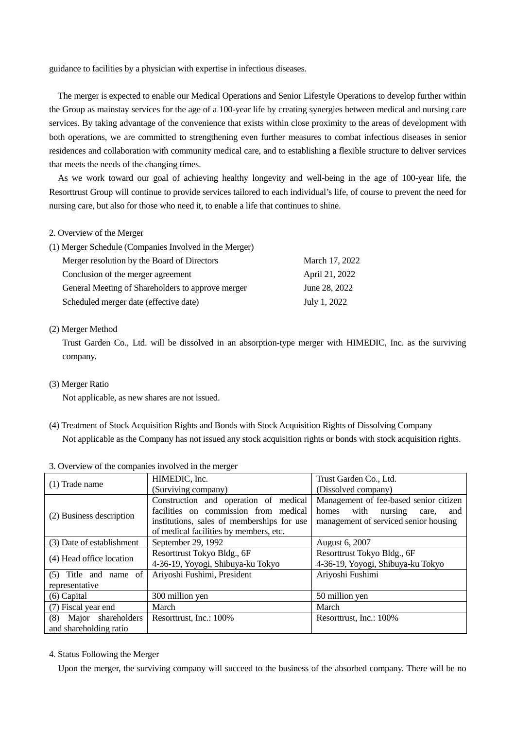guidance to facilities by a physician with expertise in infectious diseases.

The merger is expected to enable our Medical Operations and Senior Lifestyle Operations to develop further within the Group as mainstay services for the age of a 100-year life by creating synergies between medical and nursing care services. By taking advantage of the convenience that exists within close proximity to the areas of development with both operations, we are committed to strengthening even further measures to combat infectious diseases in senior residences and collaboration with community medical care, and to establishing a flexible structure to deliver services that meets the needs of the changing times.

As we work toward our goal of achieving healthy longevity and well-being in the age of 100-year life, the Resorttrust Group will continue to provide services tailored to each individual's life, of course to prevent the need for nursing care, but also for those who need it, to enable a life that continues to shine.

### 2. Overview of the Merger

| (1) Merger Schedule (Companies Involved in the Merger) |                |
|--------------------------------------------------------|----------------|
| Merger resolution by the Board of Directors            | March 17, 2022 |
| Conclusion of the merger agreement                     | April 21, 2022 |
| General Meeting of Shareholders to approve merger      | June 28, 2022  |
| Scheduled merger date (effective date)                 | July 1, 2022   |

### (2) Merger Method

Trust Garden Co., Ltd. will be dissolved in an absorption-type merger with HIMEDIC, Inc. as the surviving company.

(3) Merger Ratio

Not applicable, as new shares are not issued.

(4) Treatment of Stock Acquisition Rights and Bonds with Stock Acquisition Rights of Dissolving Company Not applicable as the Company has not issued any stock acquisition rights or bonds with stock acquisition rights.

|                           | HIMEDIC, Inc.                              | Trust Garden Co., Ltd.                   |
|---------------------------|--------------------------------------------|------------------------------------------|
| $(1)$ Trade name          | (Surviving company)                        | (Dissolved company)                      |
| (2) Business description  | Construction and operation of medical      | Management of fee-based senior citizen   |
|                           | facilities on commission from medical      | homes<br>with<br>nursing<br>care,<br>and |
|                           | institutions, sales of memberships for use | management of serviced senior housing    |
|                           | of medical facilities by members, etc.     |                                          |
| (3) Date of establishment | September 29, 1992                         | August 6, 2007                           |
| (4) Head office location  | Resorttrust Tokyo Bldg., 6F                | Resorttrust Tokyo Bldg., 6F              |
|                           | 4-36-19, Yoyogi, Shibuya-ku Tokyo          | 4-36-19, Yoyogi, Shibuya-ku Tokyo        |
| $(5)$ Title and name of   | Ariyoshi Fushimi, President                | Ariyoshi Fushimi                         |
| representative            |                                            |                                          |
| $(6)$ Capital             | 300 million yen                            | 50 million yen                           |
| (7) Fiscal year end       | March                                      | March                                    |
| (8)<br>Major shareholders | Resorttrust, Inc.: 100%                    | Resorttrust, Inc.: 100%                  |
| and shareholding ratio    |                                            |                                          |

#### 3. Overview of the companies involved in the merger

4. Status Following the Merger

Upon the merger, the surviving company will succeed to the business of the absorbed company. There will be no